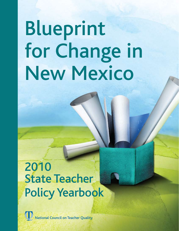# Blueprint for Change in New Mexico

## 2010 State Teacher Policy Yearbook

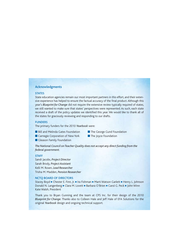#### Acknowledgments

#### **STATES**

State education agencies remain our most important partners in this effort, and their extensive experience has helped to ensure the factual accuracy of the final product. Although this year's *Blueprint for Change* did not require the extensive review typically required of states, we still wanted to make sure that states' perspectives were represented. As such, each state received a draft of the policy updates we identified this year. We would like to thank all of the states for graciously reviewing and responding to our drafts.

#### **FUNDERS**

The primary funders for the 2010 *Yearbook* were:

- **n** Bill and Melinda Gates Foundation **n** The George Gund Foundation
	-
- Carnegie Corporation of New York The Joyce Foundation
	-
- **n** Gleason Family Foundation
- *The National Council on Teacher Quality does not accept any direct funding from the federal government.*

#### **STAFF**

Sandi Jacobs, *Project Director* Sarah Brody, *Project Assistant* Kelli M. Rosen, *Lead Researcher* Trisha M. Madden, *Pension Researcher*

#### nctq board of directors

Stacey Boyd **E** Chester E. Finn, Jr. **E** Ira Fishman **E** Marti Watson Garlett **E** Henry L. Johnson Donald N. Langenberg = Clara M. Lovett = Barbara O'Brien = Carol G. Peck = John Winn Kate Walsh, President

Thank you to Bryan Gunning and the team at CPS Inc. for their design of the 2010 *Blueprint for Change*. Thanks also to Colleen Hale and Jeff Hale of EFA Solutions for the original *Yearbook* design and ongoing technical support.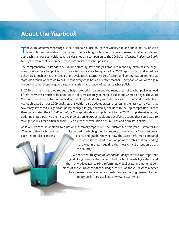## **About the** *Yearbook*

**T**he 2010 *Blueprint for Change* is the National Council on Teacher Quality's fourth annual review of state laws, rules and regulations that govern the teaching profession. This year's *Yearbook* takes a different approach than our past editions, as it is designed as a companion to the 2009 *State Teacher Policy Yearbook*, NCTQ's most recent comprehensive report on state teacher policies.

The comprehensive *Yearbook*, a 52-volume state-by-state analysis produced biennially, examines the alignment of states' teacher policies with goals to improve teacher quality. The 2009 report, which addressed key policy areas such as teacher preparation, evaluation, alternative certification and compensation, found that states had much work to do to ensure that every child has an effective teacher. Next year we will once again conduct a comprehensive goal-by-goal analysis of all aspects of states' teacher policies.

In 2010, an interim year, we set out to help states prioritize among the many areas of teacher policy in need of reform. With so much to be done, state policymakers may be nonplussed about where to begin. The 2010 *Yearbook* offers each state an individualized blueprint, identifying state policies most in need of attention. Although based on our 2009 analyses, this edition also updates states' progress in the last year, a year that saw many states make significant policy changes, largely spurred by the Race to the Top competition. Rather than grade states, the 2010 *Blueprint for Change* stands as a supplement to the 2009 comprehensive report, updating states' positive and negative progress on *Yearbook* goals and specifying actions that could lead to stronger policies for particular topics such as teacher evaluation, tenure rules and dismissal policies.

As is our practice, in addition to a national summary report, we have customized this year's *Blueprint for Change* so that each state has its own edition highlighting its progress toward specific *Yearbook* goals. Each report also contains charts and graphs showing how the state performed compared

to other states. In addition, we point to states that are leading the way in areas requiring the most critical attention across the country.

We hope that this year's *Blueprint for Change* serves as an important guide for governors, state school chiefs, school boards, legislatures and the many advocates seeking reform. Individual state and national versions of the 2010 *Blueprint for Change*, as well as the 2009 *State Teacher Policy Yearbook*—including rationales and supporting research for our policy goals—are available at www.nctq.org/stpy.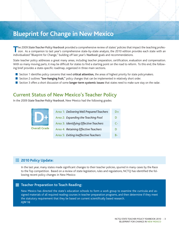## **Blueprint for Change in New Mexico**

The 2009 State Teacher Policy Yearbook provided a comprehensive review of states' policies that impact the teaching profes-<br>sion. As a companion to last year's comprehensive state-by-state analysis, the 2010 edition provid individualized "Blueprint for Change," building off last year's *Yearbook* goals and recommendations.

State teacher policy addresses a great many areas, including teacher preparation, certification, evaluation and compensation. With so many moving parts, it may be difficult for states to find a starting point on the road to reform. To this end, the following brief provides a state-specific roadmap, organized in three main sections.

- Section 1 identifies policy concerns that need **critical attention**, the areas of highest priority for state policymakers.
- Section 2 outlines "low-hanging fruit," policy changes that can be implemented in relatively short order.
- Section 3 offers a short discussion of some **longer-term systemic issues** that states need to make sure stay on the radar.

#### **Current Status of New Mexico's Teacher Policy**

In the 2009 *State Teacher Policy Yearbook*, New Mexico had the following grades:

| <b>Overall Grade</b> | Area 1: Delivering Well Prepared Teachers | D+   |
|----------------------|-------------------------------------------|------|
|                      | Area 2: Expanding the Teaching Pool       |      |
|                      | Area 3: Identifying Effective Teachers    | C- 1 |
|                      | Area 4: Retaining Effective Teachers      |      |
|                      | Area 5: Exiting Ineffective Teachers      |      |

#### **2010 Policy Update:**

In the last year, many states made significant changes to their teacher policies, spurred in many cases by the Race to the Top competition. Based on a review of state legislation, rules and regulations, NCTQ has identified the following recent policy changes in New Mexico:

#### **Teacher Preparation to Teach Reading:**

New Mexico has directed the state's education schools to form a work group to examine the curricula and assigned materials of all required reading courses in teacher preparation programs, and then determine if they meet the statutory requirement that they be based on current scientifically based research. *HJM 16*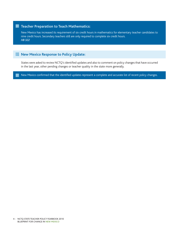#### **Teacher Preparation to Teach Mathematics:**

New Mexico has increased its requirement of six credit hours in mathematics for elementary teacher candidates to nine credit hours. Secondary teachers still are only required to complete six credit hours. *HB 322*

#### **New Mexico Response to Policy Update:**

States were asked to review NCTQ's identified updates and also to comment on policy changes that have occurred in the last year, other pending changes or teacher quality in the state more generally.

New Mexico confirmed that the identified updates represent a complete and accurate list of recent policy changes.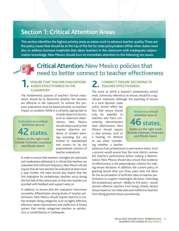## **Section 1: Critical Attention Areas**

This section identifies the highest priority areas as states work to advance teacher quality. These are the policy issues that should be at the top of the list for state policymakers. While other states need also to address licensure loopholes that allow teachers in the classroom with inadequate subjectmatter knowledge, New Mexico should turn its immediate attention to the following ten issues.

## **Critical Attention: New Mexico policies that need to better connect to teacher effectiveness**

#### **1. ENSURE that TEACHEr EVALUATIONS ASSESS EFFECTIVENESS IN THE CLASSROOM:**

The fundamental purpose of teachers' formal evaluations should be to determine whether the teachers are effective in the classroom. To achieve this purpose, evaluations must be based primarily on teachers' impact on students. While it is certainly appropriate to



include subjective factors, such as classroom observations, New Mexico should adopt a policy that requires objective evidence of student learning—including but not limited to standardized test scores—to be the preponderant criterion of teacher evaluations.

In order to ensure that teachers' strengths are optimized and weaknesses addressed, it is critical that teachers are evaluated with sufficient frequency. New Mexico should require that all new teachers be evaluated at least twice a year. Further, the state should also require that the first evaluation for probationary teachers occur during the first half of the school year, so that new teachers are provided with feedback and support early on.

In addition, to ensure that the evaluation instrument accurately differentiates among levels of teacher performance, New Mexico should require districts to utilize multiple rating categories, such as highly effective, effective, needs improvement and ineffective. A binary system that merely categorizes teachers as satisfactory or unsatisfactory is inadequate.

#### **2. CONNECT TENURE DECISIONS TO EXAMPLE EFFECTIVENESS:**

The point at which a teacher's probationary period ends, commonly referred to as tenure, should be a significant milestone. Although the awarding of tenure

is a local decision, state policy should reflect the fact that tenure should only be awarded to teachers who have consistently demonstrated their effectiveness. New Mexico should require a clear process, such as a hearing, for districts to use when considering whether a teacher



advances from probationary to permanent status. Such a process would ensure that the local district reviews the teacher's performance before making a determination. New Mexico should also ensure that evidence of effectiveness is the preponderant criterion for making tenure decisions. In addition, the current policy of granting tenure after just three years does not allow for the accumulation of sufficient data on teacher performance to support meaningful decisions. Extending the probationary period––ideally to five years––would prevent effective teachers from being unfairly denied tenure based on too little data and ineffective teachers from being granted tenure prematurely.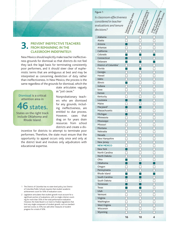## **3. PREVENT INEFFECTIVE TEACHERS FROM REMAINING IN THE CLASSROOM INDEFINITELY:**

New Mexico should explicitly make teacher ineffectiveness grounds for dismissal so that districts do not feel they lack the legal basis for terminating consistently poor performers, and it should steer clear of euphemistic terms that are ambiguous at best and may be interpreted as concerning dereliction of duty rather than ineffectiveness. In New Mexico, the process is the same regardless of the grounds for dismissal, which the

> state articulates vaguely as "just cause."

Dismissal is a critical attention area in states.

States on the right track include Oklahoma and Rhode Island.

Nonprobationary teachers who are dismissed for any grounds, including ineffectiveness, are entitled to due process. However, cases that drag on for years drain resources from school districts and create a dis-

incentive for districts to attempt to terminate poor performers. Therefore, the state must ensure that the opportunity to appeal occurs only once and only at the district level and involves only adjudicators with educational expertise.

- 1 The District of Columbia has no state-level policy, but District of Columbia Public Schools requires that student academic achievement count for 50% of evaluation score.
- 2 Legislation articulates that student growth must account for a significant portion of evaluations, with no single criterion counting for more than 35% of the total performance evaluation. However, the State Board is on track to finalize regulations that limit any single component of student growth, such as standardized test scores, to 35%, but add other measures of student progress for a total of 50%.

| Figure 1                          |    |    | <b>Endergree of student teaming</b><br>Grienfor Prepondergrat teaming<br>Grienfor Indiana decisions |
|-----------------------------------|----|----|-----------------------------------------------------------------------------------------------------|
| Is classroom effectiveness        |    |    |                                                                                                     |
| considered in teacher             |    |    |                                                                                                     |
|                                   |    |    |                                                                                                     |
| evaluations and tenure            |    |    |                                                                                                     |
| decisions?                        |    |    |                                                                                                     |
|                                   |    |    |                                                                                                     |
| Alabama                           |    |    |                                                                                                     |
| Alaska                            |    |    |                                                                                                     |
| Arizona                           |    |    |                                                                                                     |
| Arkansas                          |    |    |                                                                                                     |
| California                        |    |    |                                                                                                     |
| Colorado                          |    |    |                                                                                                     |
| Connecticut                       |    |    |                                                                                                     |
| Delaware                          |    |    |                                                                                                     |
| District of Columbia <sup>1</sup> |    |    |                                                                                                     |
| Florida                           |    |    |                                                                                                     |
| Georgia                           |    |    |                                                                                                     |
| Hawaii                            |    |    |                                                                                                     |
| Idaho                             |    |    |                                                                                                     |
| Illinois                          |    |    |                                                                                                     |
| Indiana                           |    |    |                                                                                                     |
| lowa                              |    |    |                                                                                                     |
| Kansas                            |    |    |                                                                                                     |
| Kentucky                          |    |    |                                                                                                     |
| Louisiana                         |    |    |                                                                                                     |
| Maine                             |    |    |                                                                                                     |
| Maryland <sup>2</sup>             |    |    |                                                                                                     |
| Massachusetts                     |    |    |                                                                                                     |
| Michigan                          |    |    |                                                                                                     |
| Minnesota                         |    |    |                                                                                                     |
| Mississippi<br>Missouri           |    |    |                                                                                                     |
| Montana                           |    |    |                                                                                                     |
| Nebraska                          |    |    |                                                                                                     |
| Nevada                            |    |    |                                                                                                     |
| New Hampshire                     |    |    |                                                                                                     |
| New Jersey                        |    |    |                                                                                                     |
| <b>NEW MEXICO</b>                 |    |    |                                                                                                     |
| New York                          |    |    |                                                                                                     |
| North Carolina                    |    |    |                                                                                                     |
| North Dakota                      |    |    |                                                                                                     |
| Ohio                              |    |    |                                                                                                     |
| Oklahoma                          |    |    |                                                                                                     |
| Oregon                            |    |    |                                                                                                     |
| Pennsylvania                      |    |    |                                                                                                     |
| Rhode Island                      |    |    |                                                                                                     |
| South Carolina                    |    |    |                                                                                                     |
| South Dakota                      |    |    |                                                                                                     |
| <b>Tennessee</b>                  |    |    |                                                                                                     |
| Texas                             |    |    |                                                                                                     |
| Utah                              |    |    |                                                                                                     |
| Vermont                           |    |    |                                                                                                     |
| Virginia                          |    |    |                                                                                                     |
| Washington                        |    |    |                                                                                                     |
| West Virginia                     |    |    |                                                                                                     |
| Wisconsin                         |    |    |                                                                                                     |
| Wyoming                           |    |    |                                                                                                     |
|                                   | 16 | 10 | 4                                                                                                   |
|                                   |    |    |                                                                                                     |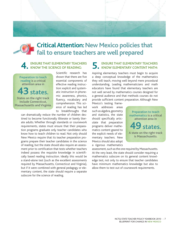

## **Critical Attention: New Mexico policies that fail to ensure teachers are well prepared**

#### **4. ENSURE that ELEMENTARY TEACHERS KNOW THE SCIENCE OF READING:**

Preparation to teach reading is a critical attention area in states. States on the right track include Connecticut, Massachusetts and Virginia.

Scientific research has shown that there are five essential components of effective reading instruction: explicit and systematic instruction in phonemic awareness, phonics, fluency, vocabulary and comprehension. This science of reading has led to breakthroughs that

can dramatically reduce the number of children destined to become functionally illiterate or barely literate adults. Whether through standards or coursework requirements, states must ensure that their preparation programs graduate only teacher candidates who know how to teach children to read. Not only should New Mexico require that its teacher preparation programs prepare their teacher candidates in the science of reading, but the state should also require an assessment prior to certification that tests whether teachers indeed possess the requisite knowledge in scientifically based reading instruction. Ideally this would be a stand-alone test (such as the excellent assessments required by Massachusetts, Connecticut and Virginia), but if it were combined with general pedagogy or elementary content, the state should require a separate subscore for the science of reading.

## **5. ENSURE that ELEMENTARY TEACHERS KNOW ELEMENTARY CONTENT MATH:**

Aspiring elementary teachers must begin to acquire a deep conceptual knowledge of the mathematics they will teach, moving well beyond mere procedural understanding. Leading mathematicians and math educators have found that elementary teachers are not well served by mathematics courses designed for a general audience and that methods courses do not provide sufficient content preparation. Although New

Mexico's testing framework addresses areas such as algebra, geometry and statistics, the state should specifically articulate that preparation programs deliver mathematics content geared to the explicit needs of elementary teachers. New Mexico should also adopt a rigorous mathematics

Preparation to teach mathematics is a critical attention area in states. A state on the right track is Massachusetts.

assessment, such as the one required by Massachusetts. At the very least, the state should consider requiring a mathematics subscore on its general content knowledge test, not only to ensure that teacher candidates have minimum mathematics knowledge but also to allow them to test out of coursework requirements.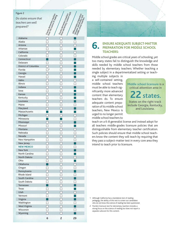| Figure 2              |                                                                                        |                                  |                                        |
|-----------------------|----------------------------------------------------------------------------------------|----------------------------------|----------------------------------------|
| Do states ensure that | $\Box$ k $\frac{k_B}{k_B}$ elementa $\eta$ teamental is the school of the direction of | $\Box$ knowles elementary teams. |                                        |
| teachers are well     |                                                                                        |                                  |                                        |
|                       |                                                                                        |                                  |                                        |
| prepared?             |                                                                                        |                                  | - <sup>Chreen</sup> elem <sub>ie</sub> |
|                       |                                                                                        |                                  |                                        |
|                       |                                                                                        |                                  |                                        |
| Alabama<br>Alaska     |                                                                                        |                                  |                                        |
| Arizona               |                                                                                        |                                  |                                        |
| Arkansas              |                                                                                        |                                  |                                        |
| California            | $\overline{1}$                                                                         |                                  |                                        |
| Colorado              |                                                                                        |                                  |                                        |
| Connecticut           |                                                                                        |                                  |                                        |
| Delaware              |                                                                                        |                                  |                                        |
| District of Columbia  |                                                                                        |                                  |                                        |
| Florida               | $\overline{c}$                                                                         |                                  |                                        |
| Georgia               |                                                                                        |                                  |                                        |
| Hawaii                |                                                                                        |                                  |                                        |
| Idaho                 |                                                                                        |                                  |                                        |
| Illinois              |                                                                                        |                                  |                                        |
| Indiana               |                                                                                        |                                  |                                        |
| lowa                  |                                                                                        |                                  |                                        |
| Kansas                |                                                                                        |                                  |                                        |
| Kentucky              |                                                                                        |                                  |                                        |
| Louisiana             |                                                                                        |                                  |                                        |
| Maine                 |                                                                                        |                                  |                                        |
| Maryland              |                                                                                        |                                  |                                        |
| Massachusetts         |                                                                                        |                                  |                                        |
| Michigan              |                                                                                        |                                  |                                        |
| Minnesota             |                                                                                        |                                  |                                        |
| Mississippi           |                                                                                        |                                  |                                        |
| Missouri              |                                                                                        |                                  |                                        |
| Montana               |                                                                                        |                                  |                                        |
| Nebraska<br>Nevada    |                                                                                        |                                  |                                        |
| New Hampshire         |                                                                                        |                                  |                                        |
| New Jersey            | $\Box$                                                                                 |                                  |                                        |
| <b>NEW MEXICO</b>     |                                                                                        |                                  |                                        |
| New York              |                                                                                        |                                  |                                        |
| North Carolina        |                                                                                        |                                  |                                        |
| North Dakota          |                                                                                        |                                  |                                        |
| Ohio                  |                                                                                        |                                  |                                        |
| Oklahoma              |                                                                                        |                                  |                                        |
| Oregon                |                                                                                        |                                  |                                        |
| Pennsylvania          |                                                                                        |                                  |                                        |
| Rhode Island          |                                                                                        |                                  |                                        |
| South Carolina        |                                                                                        |                                  |                                        |
| South Dakota          |                                                                                        |                                  |                                        |
| Tennessee             |                                                                                        |                                  |                                        |
| Texas                 |                                                                                        |                                  |                                        |
| Utah                  |                                                                                        |                                  |                                        |
| Vermont               |                                                                                        |                                  |                                        |
| Virginia              |                                                                                        |                                  |                                        |
| Washington            |                                                                                        |                                  |                                        |
| <b>West Virginia</b>  |                                                                                        |                                  |                                        |
| Wisconsin             |                                                                                        |                                  |                                        |
| Wyoming               |                                                                                        |                                  |                                        |
|                       | 6                                                                                      | 2                                | 29                                     |



## **6.** ENSURE ADEQUATE SUBJECT-MATTER<br> **PREPARATION FOR MIDDLE SCHOOL TEACHERS:**

Middle school grades are critical years of schooling, yet too many states fail to distinguish the knowledge and skills needed by middle school teachers from those needed by elementary teachers. Whether teaching a single subject in a departmentalized setting or teach-

ing multiple subjects in a self-contained setting, middle school teachers must be able to teach significantly more advanced content than elementary teachers do. To ensure adequate content preparation of its middle school teachers, New Mexico is urged to no longer permit middle school teachers to

Middle school licensure is a critical attention area in **22**states. States on the right track include Georgia, Kentucky, and Louisiana.

teach on a K-8 generalist license and instead adopt for all teachers middle-grades licensure policies that are distinguishable from elementary teacher certification. Such policies should ensure that middle school teachers know the content they will teach by requiring that they pass a subject-matter test in every core area they intend to teach prior to licensure.

- 1 Although California has a standalone test of reading pedagogy, the ability of this test to screen out candidates who do not know the science of reading has been questioned.
- 2 Florida's licensure test for elementary teachers includes a strong focus on the science of reading but does not report a separate subscore for this content.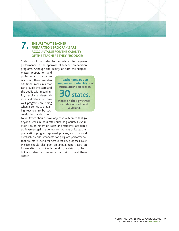

#### **7. ENSURE THAT TEACHER PREPARATION PROGRAMS ARE ACCOUNTABLE FOR THE QUALITY OF THE TEACHERS THEY PRODUCE:**

States should consider factors related to program performance in the approval of teacher preparation programs. Although the quality of both the subject-

matter preparation and professional sequence is crucial, there are also additional measures that can provide the state and the public with meaningful, readily understandable indicators of how well programs are doing when it comes to preparing teachers to be successful in the classroom.



New Mexico should make objective outcomes that go beyond licensure pass rates, such as graduates' evaluation results, retention rates and students' academic achievement gains, a central component of its teacher preparation program approval process, and it should establish precise standards for program performance that are more useful for accountability purposes. New Mexico should also post an annual report card on its website that not only details the data it collects but also identifies programs that fail to meet these criteria.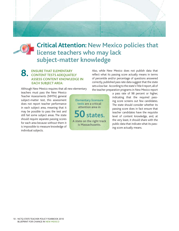

## **Critical Attention: New Mexico policies that license teachers who may lack subject-matter knowledge**

#### **8. ENSURE THAT ELEMENTARY CONTENT TESTS ADEQUATELY ASSESS CONTENT KNOWLEDGE IN EACH SUBJECT AREA:**

Although New Mexico requires that all new elementary

teachers must pass the New Mexico Teacher Assessments (NMTA) general subject-matter test, this assessment does not report teacher performance in each subject area, meaning that it may be possible to pass the test and still fail some subject areas. The state should require separate passing scores for each area because without them it is impossible to measure knowledge of individual subjects.

Elementary licensure tests are a critical attention area in states. A state on the right track is Massachusetts.

Also, while New Mexico does not publish data that reflect what its passing score actually means in terms of percentile and/or percentage of questions answered correctly, published pass rate data suggest that the state sets a low bar. According to the state's Title II report, all of the teacher preparation programs in New Mexico report

> a pass rate of 98 percent or higher, indicating that the required passing score screens out few candidates. The state should consider whether its passing score does in fact ensure that teacher candidates have the requisite level of content knowledge, and, at the very least, it should share with the public data that indicate what its passing score actually means.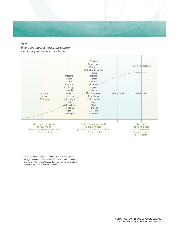

*Where do states set the passing score on elementary content licensure tests?1*



1 Data not available for Arizona, California, Florida, Georgia, Illinois, Michigan, Minnesota, **New Mexico**, New York, North Carolina, Oregon, and Washington. Montana does not require a content test. Colorado cut score is for Praxis II, not PLACE.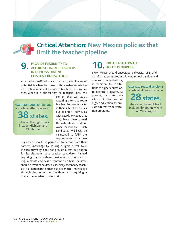

## **Critical Attention: New Mexico policies that limit the teacher pipeline**

#### **9. Provide flexibility to alternate route teachers in demonstrating content knowledge:**

Alternative certification can create a new pipeline of potential teachers for those with valuable knowledge and skills who did not prepare to teach as undergraduates. While it is critical that all teachers know the

Alternate route admissions is a critical attention area in

**38**states. States on the right track

include Michigan and Oklahoma.

content they will teach, requiring alternate route teachers to have a major in their subject area rules out talented individuals with deep knowledge that may have been gained through related study or work experience. Such candidates will likely be disinclined to fulfill the requirements of a new

degree and should be permitted to demonstrate their content knowledge by passing a rigorous test. New Mexico currently does not provide a test-out option for its alternate route teacher candidates, instead requiring that candidates meet minimum coursework requirements and pass a content-area test. The state should permit candidates, especially secondary teachers, to demonstrate their subject-matter knowledge through the content test without also requiring a major or equivalent coursework.

#### **10. BROADEN ALTERNATE ROUTE PROVIDERS:**

New Mexico should encourage a diversity of providers of its alternate route, allowing school districts and

nonprofit organizations, in addition to institutions of higher education, to operate programs. At present, the state only allows institutions of higher education to provide alternative certification programs.

Alternate route diversity is a critical attention area in **28**states. States on the right track include Illinois, New York and Washington.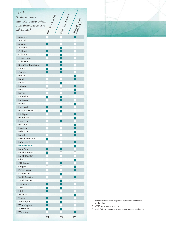| Figure 4                     | $\Box$ Allows district $u_{th}$ programs | L Allows mo <sub>rrinoph</sub><br>Morrinophi Powi <sub>dos</sub> |                         |
|------------------------------|------------------------------------------|------------------------------------------------------------------|-------------------------|
| Do states permit             |                                          |                                                                  |                         |
| alternate route providers    |                                          |                                                                  |                         |
| other than colleges and      |                                          |                                                                  |                         |
| universities?                |                                          |                                                                  |                         |
|                              |                                          |                                                                  |                         |
| Alabama                      |                                          |                                                                  |                         |
| Alaska <sup>1</sup>          |                                          |                                                                  |                         |
| Arizona                      |                                          |                                                                  |                         |
| Arkansas                     |                                          |                                                                  |                         |
| California                   |                                          |                                                                  |                         |
| Colorado                     |                                          |                                                                  |                         |
| Connecticut                  | П                                        |                                                                  |                         |
| Delaware                     |                                          |                                                                  |                         |
| District of Columbia         |                                          |                                                                  |                         |
| Florida                      |                                          |                                                                  |                         |
| Georgia<br>Hawaii            |                                          |                                                                  |                         |
| Idaho                        |                                          |                                                                  |                         |
| <b>Illinois</b>              |                                          |                                                                  |                         |
| Indiana                      |                                          |                                                                  |                         |
| lowa                         |                                          |                                                                  |                         |
| Kansas                       |                                          |                                                                  |                         |
| Kentucky                     |                                          |                                                                  |                         |
| Louisiana                    |                                          |                                                                  |                         |
| Maine                        |                                          |                                                                  |                         |
| Maryland                     |                                          |                                                                  |                         |
| Massachusetts                |                                          |                                                                  |                         |
| Michigan                     |                                          |                                                                  |                         |
| Minnesota                    |                                          |                                                                  |                         |
| Mississippi                  |                                          |                                                                  | $\overline{\mathbf{c}}$ |
| Missouri<br>Montana          |                                          |                                                                  |                         |
| Nebraska                     |                                          |                                                                  |                         |
| Nevada                       |                                          |                                                                  |                         |
| New Hampshire                |                                          |                                                                  |                         |
| New Jersey                   |                                          |                                                                  |                         |
| <b>NEW MEXICO</b>            |                                          |                                                                  |                         |
| New York                     |                                          |                                                                  |                         |
| North Carolina               |                                          |                                                                  |                         |
| North Dakota <sup>3</sup>    |                                          |                                                                  |                         |
| Ohio                         |                                          |                                                                  |                         |
| Oklahoma                     |                                          |                                                                  |                         |
| Oregon                       |                                          |                                                                  | $\overline{\mathbf{c}}$ |
| Pennsylvania<br>Rhode Island |                                          |                                                                  |                         |
| South Carolina               |                                          |                                                                  | $\overline{\mathbf{c}}$ |
| South Dakota                 |                                          |                                                                  |                         |
| <b>Tennessee</b>             |                                          |                                                                  |                         |
| Texas                        |                                          |                                                                  |                         |
| <b>Utah</b>                  |                                          |                                                                  |                         |
| Vermont                      |                                          |                                                                  |                         |
| Virginia                     |                                          |                                                                  |                         |
| Washington                   |                                          |                                                                  |                         |
| West Virginia                |                                          |                                                                  |                         |
| Wisconsin                    |                                          |                                                                  |                         |
| Wyoming                      |                                          |                                                                  |                         |
|                              | 19                                       | 23                                                               | 21                      |

1 Alaska's alternate route is operated by the state department of education.

2 ABCTE is also an approved provider.

3 North Dakota does not have an alternate route to certification.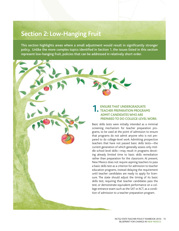## **Section 2: Low-Hanging Fruit**

This section highlights areas where a small adjustment would result in significantly stronger policy. Unlike the more complex topics identified in Section 1, the issues listed in this section represent low-hanging fruit, policies that can be addressed in relatively short order.

#### **1. ENSURE THAT UNDERGRADUATE TEACHER PREPARATION PROGRAMS ADMIT CANDIDATES WHO ARE PREPARED TO DO COLLEGE-LEVEL WORK:**

Basic skills tests were initially intended as a minimal screening mechanism for teacher preparation programs, to be used at the point of admission to ensure that programs do not admit anyone who is not prepared to do college-level work. Admitting prospective teachers that have not passed basic skills tests—the current generation of which generally assess only middle school level skills—may result in programs devoting already limited time to basic skills remediation rather than preparation for the classroom. At present, New Mexico does not require aspiring teachers to pass a basic skills test as a criterion for admission to teacher education programs, instead delaying the requirement until teacher candidates are ready to apply for licensure. The state should adjust the timing of its basic skills test, requiring that teacher candidates pass the test, or demonstrate equivalent performance on a college entrance exam such as the SAT or ACT, as a condition of admission to a teacher preparation program.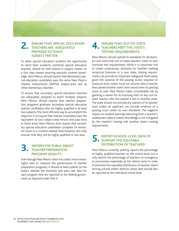

#### **2. ENSURE THAT SPECIAL EDUCATION TEACHERS ARE ADEQUATELY PREPARED TO TEACH SUBJECT MATTER:**

To allow special education students the opportunity to reach their academic potential, special education teachers should be well trained in subject matter. As a first step toward ensuring requisite content knowledge, New Mexico should require that elementary special education candidates pass the same New Mexico Teacher Assessments (NMTA) subject-area test as other elementary teachers.

To ensure that secondary special education teachers are adequately prepared to teach multiple subjects, New Mexico should require that teacher preparation programs graduate secondary special education teacher candidates who are highly qualified in at least two subjects. The most efficient way to accomplish this objective is to require that teacher candidates earn the equivalent of two subject-area minors and pass tests in those areas. New Mexico does require that secondary special education candidates complete 24 semester hours in a content-related field; however, this only ensures that they will be highly qualified in one area.

## **3. INFORM THE PUBLIC ABOUT TEACHER PREPARATION PROGRAM QUALITY:**

Even though New Mexico does not collect more meaningful data to measure the performance of teacher preparation programs, it should at least publish on the state's website the licensure test pass rate data for each program that are reported to the federal government as required under Title II.

## **4. ENSURE THAT OUT-OF-STATE TEACHERS MEET THE STATE'S TESTING REQUIREMENTS:**

New Mexico should uphold its standards for all teachers and insist that out-of-state teachers meet its own licensure test requirements. While it is important not to create unnecessary obstacles for teachers seeking reciprocal licensure in a new state, testing requirements can provide an important safeguard. Particularly given the variance of the passing scores required on licensure tests, states must not assume that a teacher that passed another state's test would meet its passing score as well. New Mexico takes considerable risk by granting a waiver for its licensing tests to any out-ofstate teacher who has passed a test in another state. The state should not provide any waivers of its teacher tests unless an applicant can provide evidence of a passing score under its own standards. The negative impact on student learning stemming from a teacher's inadequate subject-matter knowledge is not mitigated by the teacher's having met another state's testing requirements.

## **5. REPORT SCHOOL-LEVEL DATA TO SUPPORT THE EQUITABLE DISTRIBUTION OF TEACHERS:**

New Mexico currently publicly reports the percentage of highly qualified teachers at the school level, but it only reports the percentage of teachers on emergency or provisional credentials at the district level. In order to promote the equitable distribution of teacher talent among schools within districts, these data should also be reported at the individual school level.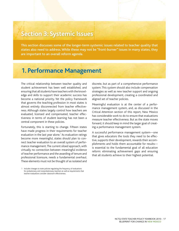## **Section 3: Systemic Issues**

This section discusses some of the longer-term systemic issues related to teacher quality that states also need to address. While these may not be "front-burner" issues in many states, they are important to an overall reform agenda.

## **1. Performance Management**

The critical relationship between teacher quality and student achievement has been well established, and ensuring that all students have teachers with the knowledge and skills to support their academic success has become a national priority. Yet the policy framework that governs the teaching profession in most states is almost entirely disconnected from teacher effectiveness. Although states largely control how teachers are evaluated, licensed and compensated, teacher effectiveness in terms of student learning has not been a central component in these policies.

Fortunately, this is starting to change. Fifteen states have made progress in their requirements for teacher evaluation in the last year alone.<sup>1</sup> As evaluation ratings become more meaningful, states should plan to connect teacher evaluation to an overall system of performance management. The current siloed approach, with virtually no connection between meaningful evidence of teacher performance and the awarding of tenure and professional licensure, needs a fundamental overhaul. These elements must not be thought of as isolated and

discrete, but as part of a comprehensive performance system. This system should also include compensation strategies as well as new teacher support and ongoing professional development, creating a coordinated and aligned set of teacher policies.

Meaningful evaluation is at the center of a performance management system, and, as discussed in the Critical Attention section of this report, New Mexico has considerable work to do to ensure that evaluations measure teacher effectiveness. But as the state moves forward, it should keep in mind the larger goal of creating a performance management system.

A successful performance management system—one that gives educators the tools they need to be effective, supports their development, rewards their accomplishments and holds them accountable for results is essential to the fundamental goal of all education reform: eliminating achievement gaps and ensuring that all students achieve to their highest potential.

<sup>1</sup> Includes changes to state policies regulating the frequency of evaluations for probationary and nonprobationary teachers as well as requirements that teacher evaluations consider classroom effectiveness.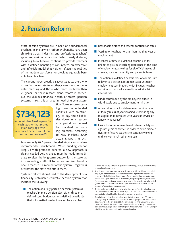## **2. Pension Reform**

State pension systems are in need of a fundamental overhaul. In an era when retirement benefits have been shrinking across industries and professions, teachers' generous pensions remain fixed. In fact, nearly all states, including New Mexico, continue to provide teachers with a defined benefit pension system, an expensive and inflexible model that neither reflects the realities of the modern workforce nor provides equitable benefits to all teachers.

The current model greatly disadvantages teachers who move from one state to another, career switchers who enter teaching and those who teach for fewer than 20 years. For these reasons alone, reform is needed. But the dubious financial health of states' pension systems makes this an area in need of urgent atten-



Amount New Mexico pays for each teacher that retires at an early age with unreduced benefits until that teacher reaches age 65<sup>4</sup>

tion. Some systems carry high levels of unfunded liabilities, with no strategy to pay these liabilities down in a reasonable period, as defined by standard accounting practices. According to New Mexico's 2009 actuarial report, its sys-

tem was only 67.5 percent funded, significantly below recommended benchmarks.<sup>1</sup> When funding cannot keep up with promised benefits, a new approach is clearly needed. And changes must be made immediately to alter the long-term outlook for the state, as it is exceedingly difficult to reduce promised benefits once a teacher is a member of the system––regardless of whether the state can afford them.

Systemic reform should lead to the development of a financially sustainable, equitable pension system that includes the following:

■ The option of a fully portable pension system as teachers' primary pension plan, either through a defined contribution plan or a defined benefit plan that is formatted similar to a cash balance plan<sup>2</sup>

- Reasonable district and teacher contribution rates
- Vesting for teachers no later than the third year of employment
- Purchase of time in a defined benefit plan for unlimited previous teaching experience at the time of employment, as well as for all official leaves of absence, such as maternity and paternity leave
- The option in a defined benefit plan of a lump-sum rollover to a personal retirement account upon employment termination, which includes teacher contributions and all accrued interest at a fair interest rate
- Funds contributed by the employer included in withdrawals due to employment termination
- A neutral formula for determining pension benefits, regardless of years worked (eliminating any multiplier that increases with years of service or longevity bonuses $)^3$
- Eligibility for retirement benefits based solely on age, not years of service, in order to avoid disincentives for effective teachers to continue working until conventional retirement age.

- 1 Public Fund Survey, http://www.publicfundsurvey.org/www/publicfundsurvey/ actuarialfundinglevels.asp.
- 2 A cash balance pension plan is a benefit plan in which participants, and their employers if they choose, periodically contribute a predetermined rate to employees' individual pension accounts. These contributions grow at a guaranteed rate. Upon retirement or withdrawal, the participant may receive the full account balance in one lump sum, so long as the benefits are fully vested. (Based on Economic Research Institute, http://www.eridlc.com/resources/ index.cfm?fuseaction=resource.glossary)
- 3 The formula may include years of service (i.e., years of service x final average salary x benefit multiplier), but other aspects of the benefit calculation, such as the multiplier, should not be dependent on years of service.
- 4 Calculations are based on a teacher who starts teaching at age 22, earns a starting salary of \$35,000 that increases 3 percent per year, and retires at the age when he or she is first eligible for unreduced benefits. Calculations use the state's benefit formula for new hires, exclude cost of living increases, and base the final average salary on the highest three years. Age 65 is the youngest eligibility age for unreduced Social Security benefits.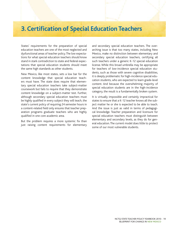## **3. Certification of Special Education Teachers**

States' requirements for the preparation of special education teachers are one of the most neglected and dysfunctional areas of teacher policy. The low expectations for what special education teachers should know stand in stark contradiction to state and federal expectations that special education students should meet the same high standards as other students.

New Mexico, like most states, sets a low bar for the content knowledge that special education teachers must have. The state does require that elementary special education teachers take subject-matter coursework but fails to require that they demonstrate content knowledge on a subject-matter test. Further, although secondary special education teachers must be highly qualified in every subject they will teach, the state's current policy of requiring 24 semester hours in a content-related field only ensures that teacher preparation programs graduate teachers who are highly qualified in one core academic area.

But the problem requires a more systemic fix than just raising content requirements for elementary and secondary special education teachers. The overarching issue is that too many states, including New Mexico, make no distinction between elementary and secondary special education teachers, certifying all such teachers under a generic K-12 special education license. While this broad umbrella may be appropriate for teachers of low-incidence special education students, such as those with severe cognitive disabilities, it is deeply problematic for high-incidence special education students, who are expected to learn grade-level content. And because the overwhelming majority of special education students are in the high-incidence category, the result is a fundamentally broken system.

It is virtually impossible and certainly impractical for states to ensure that a K-12 teacher knows all the subject matter he or she is expected to be able to teach. And the issue is just as valid in terms of pedagogical knowledge. Teacher preparation and licensure for special education teachers must distinguish between elementary and secondary levels, as they do for general education. The current model does little to protect some of our most vulnerable students.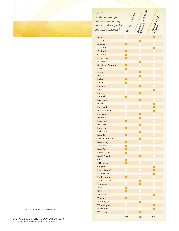| Figure 5                                | Jonesony ak. 12 centification  | $\Box$ $\Box$ $\Box$ $\alpha$ offer k, $z_2$ and $\alpha$ and $\alpha$ and $\alpha$ and $\alpha$ and $\alpha$ and $\alpha$ and $\alpha$ $\alpha$ $\alpha$ |                                                                                                                                       |  |
|-----------------------------------------|--------------------------------|-----------------------------------------------------------------------------------------------------------------------------------------------------------|---------------------------------------------------------------------------------------------------------------------------------------|--|
|                                         |                                |                                                                                                                                                           | $\begin{bmatrix} O_{\rm OS} & O_{\rm ff} \ O_{\rm ff} & O_{\rm ff} \ O_{\rm ff} & O_{\rm ff} \ O_{\rm ff} & O_{\rm ff} \end{bmatrix}$ |  |
| Do states distinguish                   |                                |                                                                                                                                                           |                                                                                                                                       |  |
| between elementary                      |                                |                                                                                                                                                           |                                                                                                                                       |  |
| and secondary special                   |                                |                                                                                                                                                           |                                                                                                                                       |  |
| education teachers?                     |                                |                                                                                                                                                           |                                                                                                                                       |  |
|                                         |                                |                                                                                                                                                           |                                                                                                                                       |  |
| Alabama                                 |                                |                                                                                                                                                           |                                                                                                                                       |  |
| Alaska                                  |                                |                                                                                                                                                           |                                                                                                                                       |  |
| Arizona                                 |                                |                                                                                                                                                           |                                                                                                                                       |  |
| <b>Arkansas</b>                         |                                |                                                                                                                                                           |                                                                                                                                       |  |
| California                              |                                |                                                                                                                                                           |                                                                                                                                       |  |
| Colorado                                |                                |                                                                                                                                                           |                                                                                                                                       |  |
| Connecticut                             |                                |                                                                                                                                                           |                                                                                                                                       |  |
| Delaware<br><b>District of Columbia</b> |                                |                                                                                                                                                           |                                                                                                                                       |  |
| Florida                                 |                                |                                                                                                                                                           |                                                                                                                                       |  |
| Georgia                                 |                                |                                                                                                                                                           |                                                                                                                                       |  |
| <b>Hawaii</b>                           |                                |                                                                                                                                                           |                                                                                                                                       |  |
| Idaho                                   |                                |                                                                                                                                                           |                                                                                                                                       |  |
| <b>Illinois</b>                         |                                |                                                                                                                                                           |                                                                                                                                       |  |
| Indiana                                 |                                |                                                                                                                                                           |                                                                                                                                       |  |
| lowa                                    |                                |                                                                                                                                                           |                                                                                                                                       |  |
| <b>Kansas</b>                           |                                |                                                                                                                                                           |                                                                                                                                       |  |
| Kentucky                                |                                |                                                                                                                                                           |                                                                                                                                       |  |
| Louisiana                               |                                |                                                                                                                                                           |                                                                                                                                       |  |
| Maine                                   |                                |                                                                                                                                                           |                                                                                                                                       |  |
| Maryland                                |                                |                                                                                                                                                           |                                                                                                                                       |  |
| Massachusetts                           |                                |                                                                                                                                                           |                                                                                                                                       |  |
| Michigan                                |                                |                                                                                                                                                           |                                                                                                                                       |  |
| Minnesota                               |                                | $\overline{\phantom{0}}$                                                                                                                                  | $\Box$                                                                                                                                |  |
| Mississippi                             |                                |                                                                                                                                                           | $\Box$                                                                                                                                |  |
| Missouri                                |                                |                                                                                                                                                           | $\frac{1}{10}$                                                                                                                        |  |
| Montana                                 |                                |                                                                                                                                                           |                                                                                                                                       |  |
| Nebraska                                |                                |                                                                                                                                                           |                                                                                                                                       |  |
| Nevada                                  |                                |                                                                                                                                                           |                                                                                                                                       |  |
| <b>New Hampshire</b>                    | $\Box$                         |                                                                                                                                                           | $\Box$                                                                                                                                |  |
| New Jersey                              |                                |                                                                                                                                                           |                                                                                                                                       |  |
| <b>NEW MEXICO</b><br><b>New York</b>    | P.<br>$\overline{\phantom{0}}$ |                                                                                                                                                           |                                                                                                                                       |  |
| North Carolina                          |                                |                                                                                                                                                           |                                                                                                                                       |  |
| <b>North Dakota</b>                     | $\Box$                         |                                                                                                                                                           |                                                                                                                                       |  |
| Ohio                                    |                                |                                                                                                                                                           |                                                                                                                                       |  |
| Oklahoma                                |                                |                                                                                                                                                           |                                                                                                                                       |  |
| Oregon                                  | $\Box$                         |                                                                                                                                                           |                                                                                                                                       |  |
| Pennsylvania <sup>1</sup>               | $\bar{\Box}$                   |                                                                                                                                                           |                                                                                                                                       |  |
| Rhode Island                            |                                |                                                                                                                                                           |                                                                                                                                       |  |
| South Carolina                          |                                |                                                                                                                                                           |                                                                                                                                       |  |
| South Dakota                            |                                |                                                                                                                                                           |                                                                                                                                       |  |
| <b>Tennessee</b>                        |                                |                                                                                                                                                           |                                                                                                                                       |  |
| <b>Texas</b>                            |                                |                                                                                                                                                           |                                                                                                                                       |  |
| Utah                                    |                                |                                                                                                                                                           |                                                                                                                                       |  |
| Vermont                                 |                                |                                                                                                                                                           |                                                                                                                                       |  |
| Virginia                                |                                |                                                                                                                                                           |                                                                                                                                       |  |
| Washington                              | $\Box$                         |                                                                                                                                                           |                                                                                                                                       |  |
| <b>West Virginia</b>                    |                                |                                                                                                                                                           |                                                                                                                                       |  |
| Wisconsin                               | io<br>O O O                    |                                                                                                                                                           |                                                                                                                                       |  |
| Wyoming                                 |                                |                                                                                                                                                           |                                                                                                                                       |  |
|                                         | 22                             | 17                                                                                                                                                        | 12                                                                                                                                    |  |
|                                         |                                |                                                                                                                                                           |                                                                                                                                       |  |

1 New policy goes into effect January 1, 2013.